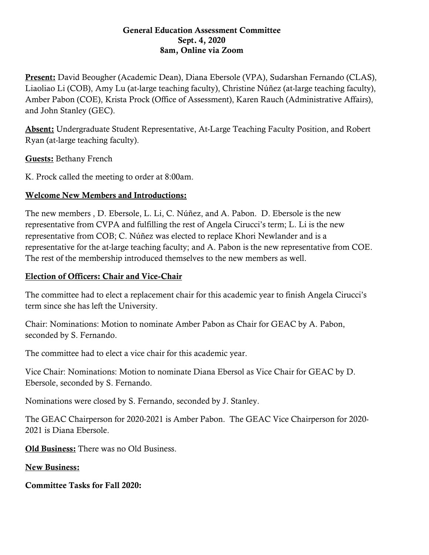#### General Education Assessment Committee Sept. 4, 2020 8am, Online via Zoom

Present: David Beougher (Academic Dean), Diana Ebersole (VPA), Sudarshan Fernando (CLAS), Liaoliao Li (COB), Amy Lu (at-large teaching faculty), Christine Núñez (at-large teaching faculty), Amber Pabon (COE), Krista Prock (Office of Assessment), Karen Rauch (Administrative Affairs), and John Stanley (GEC).

Absent: Undergraduate Student Representative, At-Large Teaching Faculty Position, and Robert Ryan (at-large teaching faculty).

Guests: Bethany French

K. Prock called the meeting to order at 8:00am.

# Welcome New Members and Introductions:

The new members , D. Ebersole, L. Li, C. Núñez, and A. Pabon. D. Ebersole is the new representative from CVPA and fulfilling the rest of Angela Cirucci's term; L. Li is the new representative from COB; C. Núñez was elected to replace Khori Newlander and is a representative for the at-large teaching faculty; and A. Pabon is the new representative from COE. The rest of the membership introduced themselves to the new members as well.

## Election of Officers: Chair and Vice-Chair

The committee had to elect a replacement chair for this academic year to finish Angela Cirucci's term since she has left the University.

Chair: Nominations: Motion to nominate Amber Pabon as Chair for GEAC by A. Pabon, seconded by S. Fernando.

The committee had to elect a vice chair for this academic year.

Vice Chair: Nominations: Motion to nominate Diana Ebersol as Vice Chair for GEAC by D. Ebersole, seconded by S. Fernando.

Nominations were closed by S. Fernando, seconded by J. Stanley.

The GEAC Chairperson for 2020-2021 is Amber Pabon. The GEAC Vice Chairperson for 2020- 2021 is Diana Ebersole.

Old Business: There was no Old Business.

New Business:

Committee Tasks for Fall 2020: